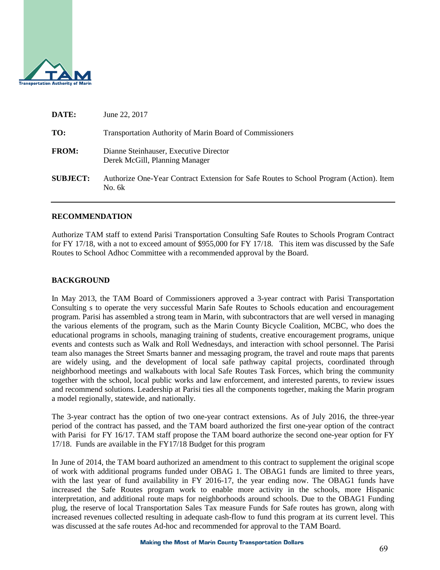

| DATE:           | June 22, 2017                                                                                    |
|-----------------|--------------------------------------------------------------------------------------------------|
| TO:             | <b>Transportation Authority of Marin Board of Commissioners</b>                                  |
| <b>FROM:</b>    | Dianne Steinhauser, Executive Director<br>Derek McGill, Planning Manager                         |
| <b>SUBJECT:</b> | Authorize One-Year Contract Extension for Safe Routes to School Program (Action). Item<br>No. 6k |

#### **RECOMMENDATION**

Authorize TAM staff to extend Parisi Transportation Consulting Safe Routes to Schools Program Contract for FY 17/18, with a not to exceed amount of \$955,000 for FY 17/18. This item was discussed by the Safe Routes to School Adhoc Committee with a recommended approval by the Board.

#### **BACKGROUND**

In May 2013, the TAM Board of Commissioners approved a 3-year contract with Parisi Transportation Consulting s to operate the very successful Marin Safe Routes to Schools education and encouragement program. Parisi has assembled a strong team in Marin, with subcontractors that are well versed in managing the various elements of the program, such as the Marin County Bicycle Coalition, MCBC, who does the educational programs in schools, managing training of students, creative encouragement programs, unique events and contests such as Walk and Roll Wednesdays, and interaction with school personnel. The Parisi team also manages the Street Smarts banner and messaging program, the travel and route maps that parents are widely using, and the development of local safe pathway capital projects, coordinated through neighborhood meetings and walkabouts with local Safe Routes Task Forces, which bring the community together with the school, local public works and law enforcement, and interested parents, to review issues and recommend solutions. Leadership at Parisi ties all the components together, making the Marin program a model regionally, statewide, and nationally.

The 3-year contract has the option of two one-year contract extensions. As of July 2016, the three-year period of the contract has passed, and the TAM board authorized the first one-year option of the contract with Parisi for FY 16/17. TAM staff propose the TAM board authorize the second one-year option for FY 17/18. Funds are available in the FY17/18 Budget for this program

In June of 2014, the TAM board authorized an amendment to this contract to supplement the original scope of work with additional programs funded under OBAG 1. The OBAG1 funds are limited to three years, with the last year of fund availability in FY 2016-17, the year ending now. The OBAG1 funds have increased the Safe Routes program work to enable more activity in the schools, more Hispanic interpretation, and additional route maps for neighborhoods around schools. Due to the OBAG1 Funding plug, the reserve of local Transportation Sales Tax measure Funds for Safe routes has grown, along with increased revenues collected resulting in adequate cash-flow to fund this program at its current level. This was discussed at the safe routes Ad-hoc and recommended for approval to the TAM Board.